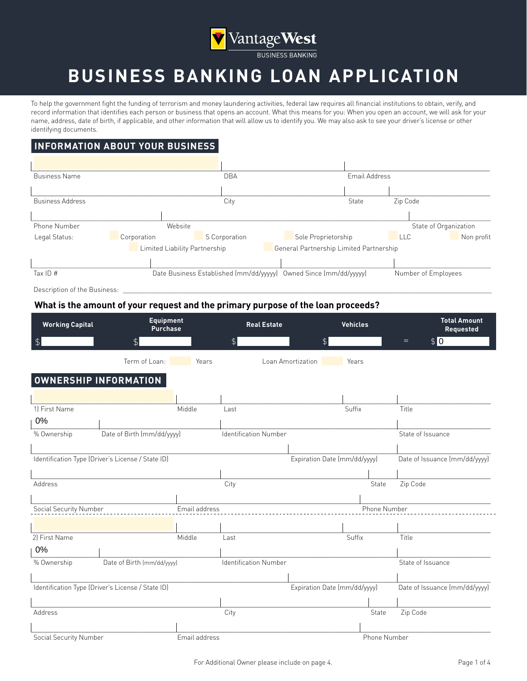

# **BUSINESS BANKING LOAN APPLICATION**

To help the government fight the funding of terrorism and money laundering activities, federal law requires all financial institutions to obtain, verify, and record information that identifies each person or business that opens an account. What this means for you: When you open an account, we will ask for your name, address, date of birth, if applicable, and other information that will allow us to identify you. We may also ask to see your driver's license or other identifying documents.

### **INFORMATION ABOUT YOUR BUSINESS**

| <b>Business Name</b>    |                               | <b>DBA</b>                              |                                         | Email Address |            |                       |
|-------------------------|-------------------------------|-----------------------------------------|-----------------------------------------|---------------|------------|-----------------------|
|                         |                               |                                         |                                         |               |            |                       |
| <b>Business Address</b> |                               | City                                    |                                         | State         | Zip Code   |                       |
|                         |                               |                                         |                                         |               |            |                       |
| Phone Number            | Website                       |                                         |                                         |               |            | State of Organization |
| Legal Status:           | Corporation                   | S Corporation                           | Sole Proprietorship                     |               | <b>LLC</b> | Non profit            |
|                         | Limited Liability Partnership |                                         | General Partnership Limited Partnership |               |            |                       |
|                         |                               |                                         |                                         |               |            |                       |
| Tax ID $#$              |                               | Date Business Established (mm/dd/yyyyy) | Owned Since (mm/dd/yyyyy)               |               |            | Number of Employees   |

Description of the Business:

### **What is the amount of your request and the primary purpose of the loan proceeds?**

| <b>Working Capital</b>       | <b>Equipment</b><br><b>Purchase</b>               |               | <b>Real Estate</b>           |                              | <b>Vehicles</b> | <b>Total Amount</b><br>Requested |
|------------------------------|---------------------------------------------------|---------------|------------------------------|------------------------------|-----------------|----------------------------------|
| \$                           | $\textcircled{f}$                                 |               | $\frac{1}{2}$                | $\frac{1}{2}$                |                 | \$0<br>$=$                       |
|                              | Term of Loan:                                     | Years         |                              | Loan Amortization            | Years           |                                  |
| <b>OWNERSHIP INFORMATION</b> |                                                   |               |                              |                              |                 |                                  |
|                              |                                                   |               |                              |                              |                 |                                  |
| 1) First Name                |                                                   | Middle        | Last                         |                              | Suffix          | Title                            |
| 0%                           |                                                   |               |                              |                              |                 |                                  |
| % Ownership                  | Date of Birth (mm/dd/yyyy)                        |               | <b>Identification Number</b> |                              |                 | State of Issuance                |
|                              |                                                   |               |                              |                              |                 |                                  |
|                              | Identification Type (Driver's License / State ID) |               |                              | Expiration Date (mm/dd/yyyy) |                 | Date of Issuance (mm/dd/yyyy)    |
|                              |                                                   |               |                              |                              |                 |                                  |
| Address                      |                                                   |               | City                         |                              | State           | Zip Code                         |
|                              |                                                   |               |                              |                              |                 |                                  |
| Social Security Number       |                                                   | Email address |                              |                              | Phone Number    |                                  |
|                              |                                                   |               |                              |                              |                 |                                  |
| 2) First Name                |                                                   | Middle        | Last                         |                              | Suffix          | Title                            |
| 0%                           |                                                   |               |                              |                              |                 |                                  |
| % Ownership                  | Date of Birth (mm/dd/yyyy)                        |               | <b>Identification Number</b> |                              |                 | State of Issuance                |
|                              |                                                   |               |                              |                              |                 |                                  |
|                              | Identification Type (Driver's License / State ID) |               |                              | Expiration Date (mm/dd/yyyy) |                 | Date of Issuance (mm/dd/yyyy)    |
|                              |                                                   |               |                              |                              |                 |                                  |
| Address                      |                                                   |               | City                         |                              | State           | Zip Code                         |
|                              |                                                   |               |                              |                              |                 |                                  |
| Social Security Number       |                                                   | Email address |                              |                              | Phone Number    |                                  |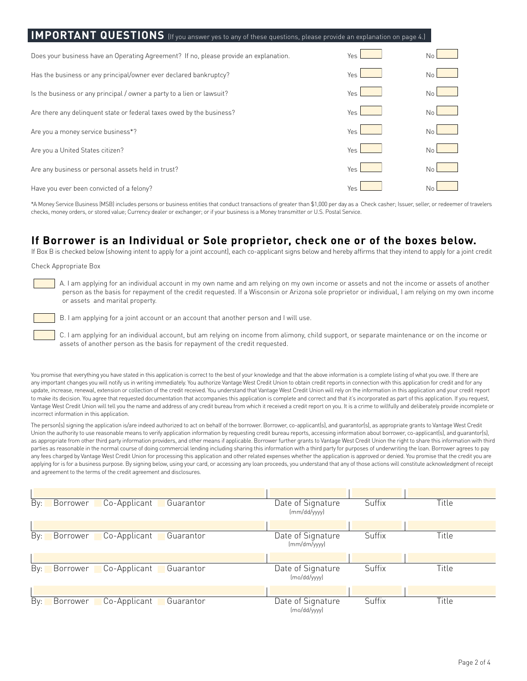| <b>IMPORTANT QUESTIONS</b> (If you answer yes to any of these questions, please provide an explanation on page 4.) |      |                |  |  |  |  |  |
|--------------------------------------------------------------------------------------------------------------------|------|----------------|--|--|--|--|--|
| Does your business have an Operating Agreement? If no, please provide an explanation.                              | Yes  | Nr             |  |  |  |  |  |
| Has the business or any principal/owner ever declared bankruptcy?                                                  | Yes  | No             |  |  |  |  |  |
| Is the business or any principal / owner a party to a lien or lawsuit?                                             | Yes. | Nα             |  |  |  |  |  |
| Are there any delinguent state or federal taxes owed by the business?                                              | Yes. | Nr             |  |  |  |  |  |
| Are you a money service business*?                                                                                 | Yes  | N <sub>c</sub> |  |  |  |  |  |
| Are you a United States citizen?                                                                                   | Yes  | N <sub>c</sub> |  |  |  |  |  |
| Are any business or personal assets held in trust?                                                                 | Yes  | Nα             |  |  |  |  |  |
| Have you ever been convicted of a felony?                                                                          | Yes  | Νo             |  |  |  |  |  |

the conduct Business (MSB) in conductions (MSB) includes persons or if your business is a Money transmitter or  $\mathsf{I}(\mathsf{S},\mathsf{P}$  as a Check casher;  $\alpha$  is a Check casher; is a Check casher; is a Check casher; Issuer, checks, money orders, or stored value; Currency dealer or exchanger; or if your business is a Money transmitter or U.S. Postal Service.<br>. \*A Money Service Business (MSB) includes persons or business entities that conduct transactions of greater than \$1,000 per day as a Check casher; Issuer, seller, or redeemer of travelers

### **If Borrower is an Individual or Sole proprietor, check one or of the boxes below.**

If Box B is checked below (showing intent to apply for a joint account), each co-applicant signs below and hereby affirms that they intend to apply for a joint credit

Check Appropriate Box

A. I am applying for an individual account in my own name and am relying on my own income or assets and not the income or assets of another person as the basis for repayment of the credit requested. If a Wisconsin or Arizona sole proprietor or individual, I am relying on my own income or assets and marital property.

B. I am applying for a joint account or an account that another person and I will use.

C. I am applying for an individual account, but am relying on income from alimony, child support, or separate maintenance or on the income or assets of another person as the basis for repayment of the credit requested.

You promise that everything you have stated in this application is correct to the best of your knowledge and that the above information is a complete listing of what you owe. If there are any important changes you will notify us in writing immediately. You authorize Vantage West Credit Union to obtain credit reports in connection with this application for credit and for any update, increase, renewal, extension or collection of the credit received. You understand that Vantage West Credit Union will rely on the information in this application and your credit report to make its decision. You agree that requested documentation that accompanies this application is complete and correct and that it's incorporated as part of this application. If you request,<br>Mother West Oralis Union will t Vantage West Credit Union will tell you the name and address of any credit bureau from which it received a credit report on you. It is a crime to willfully and deliberately provide incomplete or incorrect information in this application.

you have stated in this application is the above in the best of your complete and the best of your complete and the above in the above in the above in the above information is a complete listing of what you on the above in as appropriate from other third party information providers, and other means if applicable. Borrower further grants to Vantage West Credit Union the right to share this information with third parties as reasonable in the normal course of doing commercial lending including sharing this information with a third party for purposes of underwriting the loan. Borrower agrees to pay any lees thanged documentation that accompany this application and other requests whenever the application is part of the Indian it of the Credit Union will be complete as the Credit Union will be complete and the Credit U applying for is for a business purpose. By signing below, using your card, or accessing any loan proceeds, you understand that any of those actions will constitute acknowledgment of receipt and agreement to the terms of the credit agreement and disclosures. The person(s) signing the application is/are indeed authorized to act on behalf of the borrower. Borrower, co-applicant(s), and guarantor(s), as appropriate grants to Vantage West Credit Union the authority to use reasonable means to verify application information by requesting credit bureau reports, accessing information about borrower, co-applicant(s), and guarantor(s), any fees charged by Vantage West Credit Union for processing this application and other related expenses whether the application is approved or denied. You promise that the credit you are

| By: | Co-Applicant<br>Borrower<br>Guarantor | Date of Signature<br>[mm/dd/yyy]  | Suffix | Title |
|-----|---------------------------------------|-----------------------------------|--------|-------|
|     |                                       |                                   |        |       |
| By: | Borrower<br>Co-Applicant<br>Guarantor | Date of Signature<br>(mm/dm/yyyy) | Suffix | Title |
|     |                                       |                                   |        |       |
| By: | Borrower<br>Co-Applicant<br>Guarantor | Date of Signature<br>(mo/dd/yyyy) | Suffix | Title |
|     |                                       |                                   |        |       |
| By: | Co-Applicant<br>Borrower<br>Guarantor | Date of Signature<br>(mo/dd/yyyy) | Suffix | Title |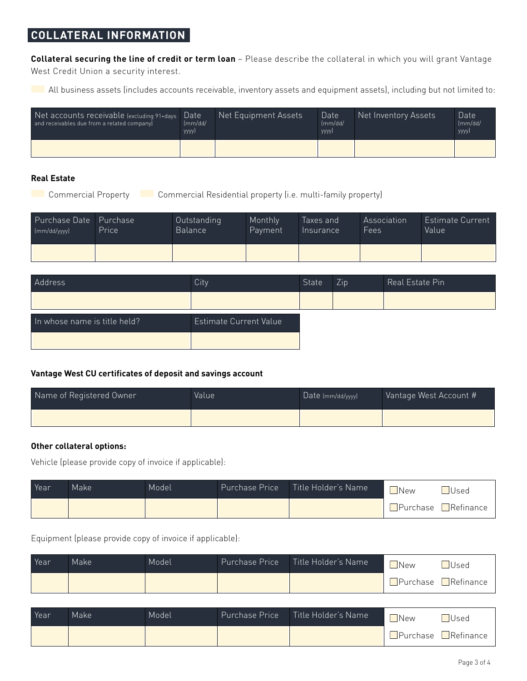### **COLLATERAL INFORMATION**

**Collateral securing the line of credit or term loan** – Please describe the collateral in which you will grant Vantage West Credit Union a security interest.

All business assets (includes accounts receivable, inventory assets and equipment assets), including but not limited to:

| Net accounts receivable (excluding 91+days<br>and receivables due from a related company) | Date<br>$\text{Im}$ m/dd/<br>yyyyJ | Net Equipment Assets | Date<br>$\text{Im} \text{m}/\text{dd}/\text{m}$<br>yyyyJ | Net Inventory Assets | Date<br>$\text{Im} \text{m}/\text{dd}/\text{m}$<br>yyyyJ |
|-------------------------------------------------------------------------------------------|------------------------------------|----------------------|----------------------------------------------------------|----------------------|----------------------------------------------------------|
|                                                                                           |                                    |                      |                                                          |                      |                                                          |

### **Real Estate**

Commercial Property Commercial Residential property (i.e. multi-family property)

| Purchase Date Purchase | Price | Outstanding    | Monthly | Taxes and | Association | Estimate Current |
|------------------------|-------|----------------|---------|-----------|-------------|------------------|
| [mm/dd/ww)             |       | <b>Balance</b> | Payment | Insurance | Fees        | <b>Value</b>     |
|                        |       |                |         |           |             |                  |

| Address                      | City                   | State | Zip <sup>1</sup> | Real Estate Pin |
|------------------------------|------------------------|-------|------------------|-----------------|
|                              |                        |       |                  |                 |
| In whose name is title held? | Estimate Current Value |       |                  |                 |
|                              |                        |       |                  |                 |

### **Vantage West CU certificates of deposit and savings account**

| Name of Registered Owner | Value | Date (mm/dd/yyyy) | Vantage West Account # |  |
|--------------------------|-------|-------------------|------------------------|--|
|                          |       |                   |                        |  |

### **Other collateral options:**

Vehicle (please provide copy of invoice if applicable):

| Year | Make | Model | Purchase Price | Title Holder's Name | New | Used                             |
|------|------|-------|----------------|---------------------|-----|----------------------------------|
|      |      |       |                |                     |     | $\Box$ Purchase $\Box$ Refinance |

Equipment (please provide copy of invoice if applicable):

| Year | Make <sup>1</sup> | Model | <b>Purchase Price</b> | Title Holder's Name | <b>JNew</b> | Used                             |
|------|-------------------|-------|-----------------------|---------------------|-------------|----------------------------------|
|      |                   |       |                       |                     |             | $\Box$ Purchase $\Box$ Refinance |

| Year | Make | Model | Purchase Price Title Holder's Name | <b>New</b> | $\Box$ Used                      |
|------|------|-------|------------------------------------|------------|----------------------------------|
|      |      |       |                                    |            | $\Box$ Purchase $\Box$ Refinance |